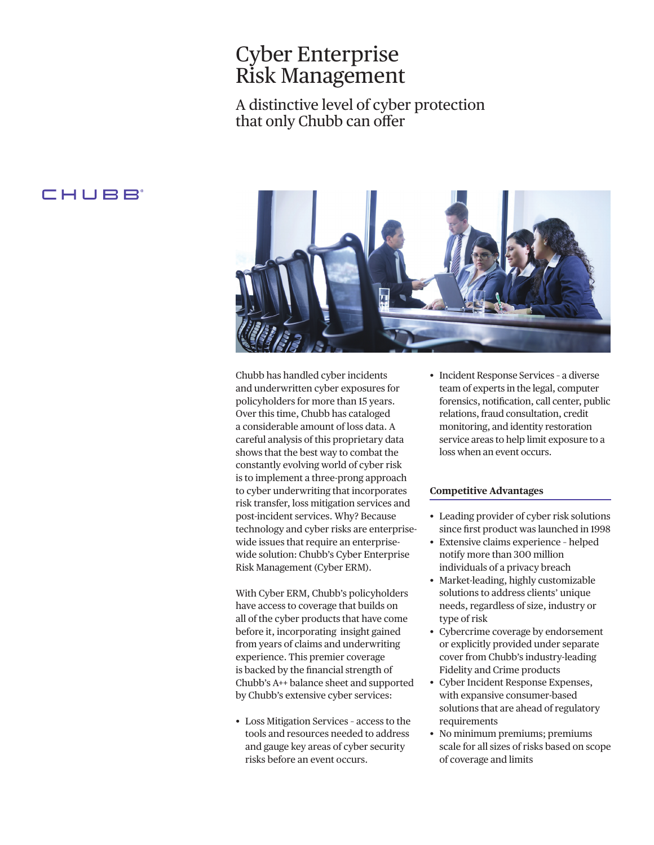# Cyber Enterprise Risk Management

A distinctive level of cyber protection that only Chubb can offer

### CHUBB



Chubb has handled cyber incidents and underwritten cyber exposures for policyholders for more than 15 years. Over this time, Chubb has cataloged a considerable amount of loss data. A careful analysis of this proprietary data shows that the best way to combat the constantly evolving world of cyber risk is to implement a three-prong approach to cyber underwriting that incorporates risk transfer, loss mitigation services and post-incident services. Why? Because technology and cyber risks are enterprisewide issues that require an enterprisewide solution: Chubb's Cyber Enterprise Risk Management (Cyber ERM).

With Cyber ERM, Chubb's policyholders have access to coverage that builds on all of the cyber products that have come before it, incorporating insight gained from years of claims and underwriting experience. This premier coverage is backed by the fnancial strength of Chubb's A++ balance sheet and supported by Chubb's extensive cyber services:

• Loss Mitigation Services – access to the tools and resources needed to address and gauge key areas of cyber security risks before an event occurs.

• Incident Response Services – a diverse team of experts in the legal, computer forensics, notifcation, call center, public relations, fraud consultation, credit monitoring, and identity restoration service areas to help limit exposure to a loss when an event occurs.

### **Competitive Advantages**

- Leading provider of cyber risk solutions since frst product was launched in 1998
- Extensive claims experience helped notify more than 300 million individuals of a privacy breach
- Market-leading, highly customizable solutions to address clients' unique needs, regardless of size, industry or type of risk
- Cybercrime coverage by endorsement or explicitly provided under separate cover from Chubb's industry-leading Fidelity and Crime products
- Cyber Incident Response Expenses, with expansive consumer-based solutions that are ahead of regulatory requirements
- No minimum premiums; premiums scale for all sizes of risks based on scope of coverage and limits